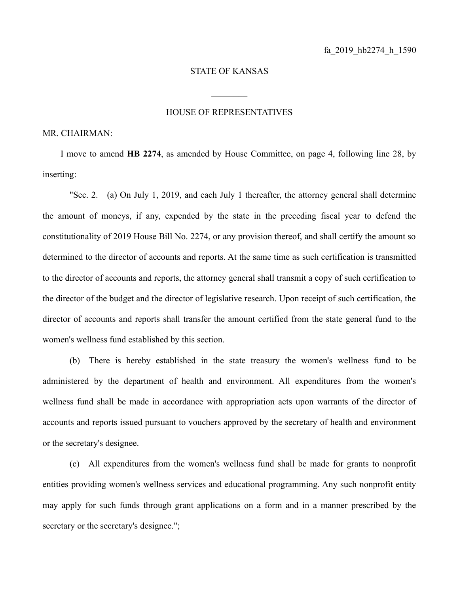## STATE OF KANSAS

 $\frac{1}{2}$ 

## HOUSE OF REPRESENTATIVES

## MR. CHAIRMAN:

I move to amend **HB 2274**, as amended by House Committee, on page 4, following line 28, by inserting:

"Sec. 2. (a) On July 1, 2019, and each July 1 thereafter, the attorney general shall determine the amount of moneys, if any, expended by the state in the preceding fiscal year to defend the constitutionality of 2019 House Bill No. 2274, or any provision thereof, and shall certify the amount so determined to the director of accounts and reports. At the same time as such certification is transmitted to the director of accounts and reports, the attorney general shall transmit a copy of such certification to the director of the budget and the director of legislative research. Upon receipt of such certification, the director of accounts and reports shall transfer the amount certified from the state general fund to the women's wellness fund established by this section.

(b) There is hereby established in the state treasury the women's wellness fund to be administered by the department of health and environment. All expenditures from the women's wellness fund shall be made in accordance with appropriation acts upon warrants of the director of accounts and reports issued pursuant to vouchers approved by the secretary of health and environment or the secretary's designee.

(c) All expenditures from the women's wellness fund shall be made for grants to nonprofit entities providing women's wellness services and educational programming. Any such nonprofit entity may apply for such funds through grant applications on a form and in a manner prescribed by the secretary or the secretary's designee.";